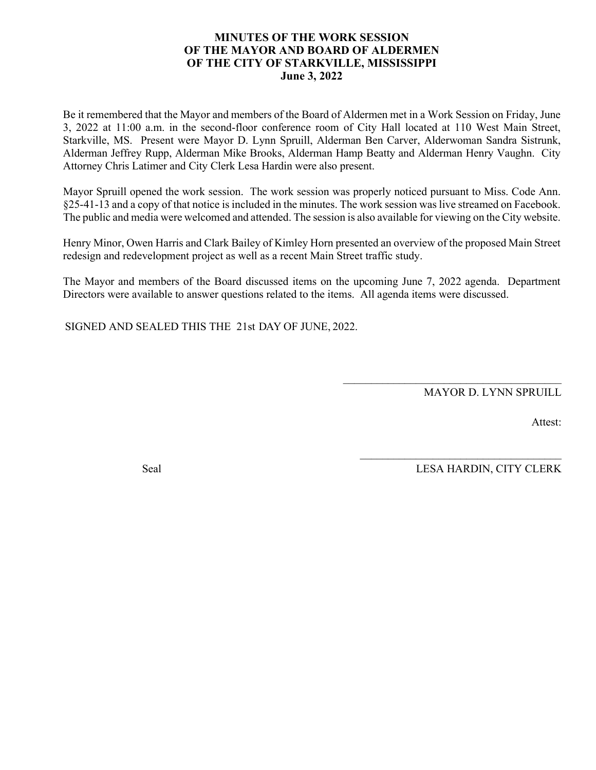#### **MINUTES OF THE WORK SESSION OF THE MAYOR AND BOARD OF ALDERMEN OF THE CITY OF STARKVILLE, MISSISSIPPI June 3, 2022**

Be it remembered that the Mayor and members of the Board of Aldermen met in a Work Session on Friday, June 3, 2022 at 11:00 a.m. in the second-floor conference room of City Hall located at 110 West Main Street, Starkville, MS. Present were Mayor D. Lynn Spruill, Alderman Ben Carver, Alderwoman Sandra Sistrunk, Alderman Jeffrey Rupp, Alderman Mike Brooks, Alderman Hamp Beatty and Alderman Henry Vaughn. City Attorney Chris Latimer and City Clerk Lesa Hardin were also present.

Mayor Spruill opened the work session. The work session was properly noticed pursuant to Miss. Code Ann. §25-41-13 and a copy of that notice is included in the minutes. The work session waslive streamed on Facebook. The public and media were welcomed and attended. The session is also available for viewing on the City website.

Henry Minor, Owen Harris and Clark Bailey of Kimley Horn presented an overview of the proposed Main Street redesign and redevelopment project as well as a recent Main Street traffic study.

The Mayor and members of the Board discussed items on the upcoming June 7, 2022 agenda. Department Directors were available to answer questions related to the items. All agenda items were discussed.

SIGNED AND SEALED THIS THE 21st DAY OF JUNE, 2022.

MAYOR D. LYNN SPRUILL

 $\mathcal{L}_\text{max}$  and  $\mathcal{L}_\text{max}$  and  $\mathcal{L}_\text{max}$  and  $\mathcal{L}_\text{max}$ 

 $\mathcal{L}_\text{max}$  , and the set of the set of the set of the set of the set of the set of the set of the set of the set of the set of the set of the set of the set of the set of the set of the set of the set of the set of the

Attest:

Seal LESA HARDIN, CITY CLERK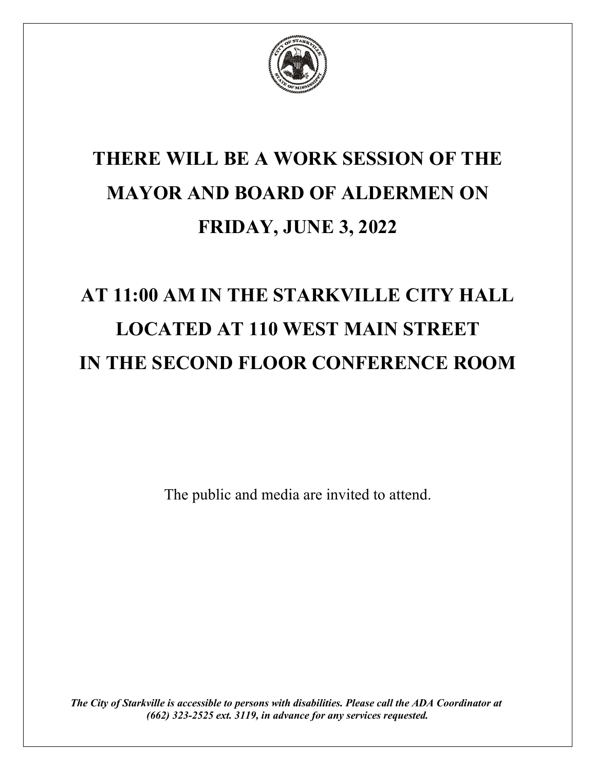

## **THERE WILL BE A WORK SESSION OF THE MAYOR AND BOARD OF ALDERMEN ON FRIDAY, JUNE 3, 2022**

# **AT 11:00 AM IN THE STARKVILLE CITY HALL LOCATED AT 110 WEST MAIN STREET IN THE SECOND FLOOR CONFERENCE ROOM**

The public and media are invited to attend.

*The City of Starkville is accessible to persons with disabilities. Please call the ADA Coordinator at (662) 323-2525 ext. 3119, in advance for any services requested.*